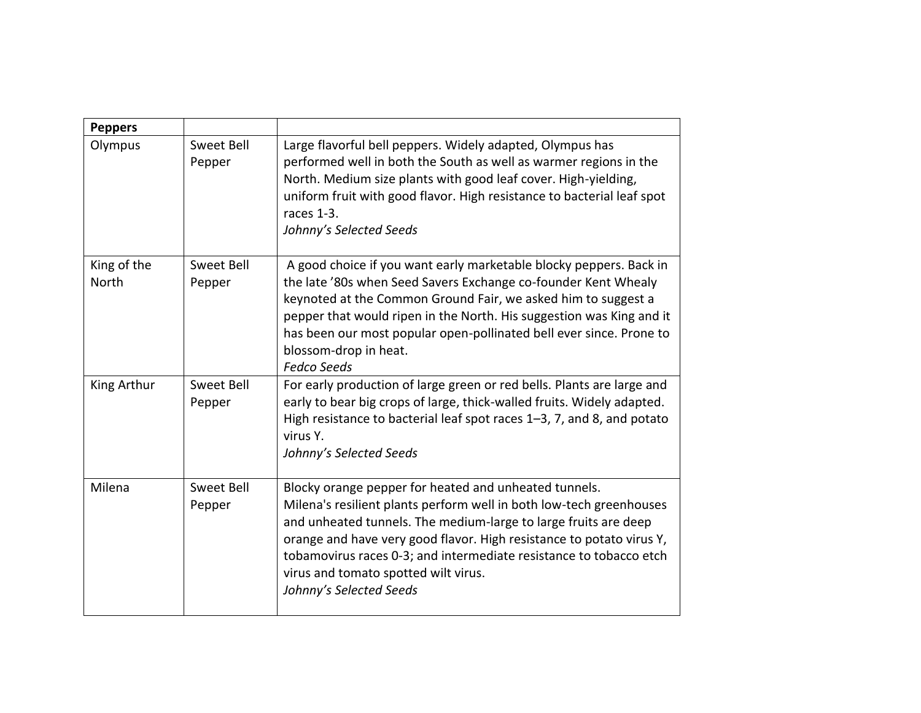| <b>Peppers</b>       |                      |                                                                                                                                                                                                                                                                                                                                                                                                                  |
|----------------------|----------------------|------------------------------------------------------------------------------------------------------------------------------------------------------------------------------------------------------------------------------------------------------------------------------------------------------------------------------------------------------------------------------------------------------------------|
| Olympus              | Sweet Bell<br>Pepper | Large flavorful bell peppers. Widely adapted, Olympus has<br>performed well in both the South as well as warmer regions in the<br>North. Medium size plants with good leaf cover. High-yielding,<br>uniform fruit with good flavor. High resistance to bacterial leaf spot<br>races 1-3.<br>Johnny's Selected Seeds                                                                                              |
| King of the<br>North | Sweet Bell<br>Pepper | A good choice if you want early marketable blocky peppers. Back in<br>the late '80s when Seed Savers Exchange co-founder Kent Whealy<br>keynoted at the Common Ground Fair, we asked him to suggest a<br>pepper that would ripen in the North. His suggestion was King and it<br>has been our most popular open-pollinated bell ever since. Prone to<br>blossom-drop in heat.<br><b>Fedco Seeds</b>              |
| King Arthur          | Sweet Bell<br>Pepper | For early production of large green or red bells. Plants are large and<br>early to bear big crops of large, thick-walled fruits. Widely adapted.<br>High resistance to bacterial leaf spot races 1–3, 7, and 8, and potato<br>virus Y.<br>Johnny's Selected Seeds                                                                                                                                                |
| Milena               | Sweet Bell<br>Pepper | Blocky orange pepper for heated and unheated tunnels.<br>Milena's resilient plants perform well in both low-tech greenhouses<br>and unheated tunnels. The medium-large to large fruits are deep<br>orange and have very good flavor. High resistance to potato virus Y,<br>tobamovirus races 0-3; and intermediate resistance to tobacco etch<br>virus and tomato spotted wilt virus.<br>Johnny's Selected Seeds |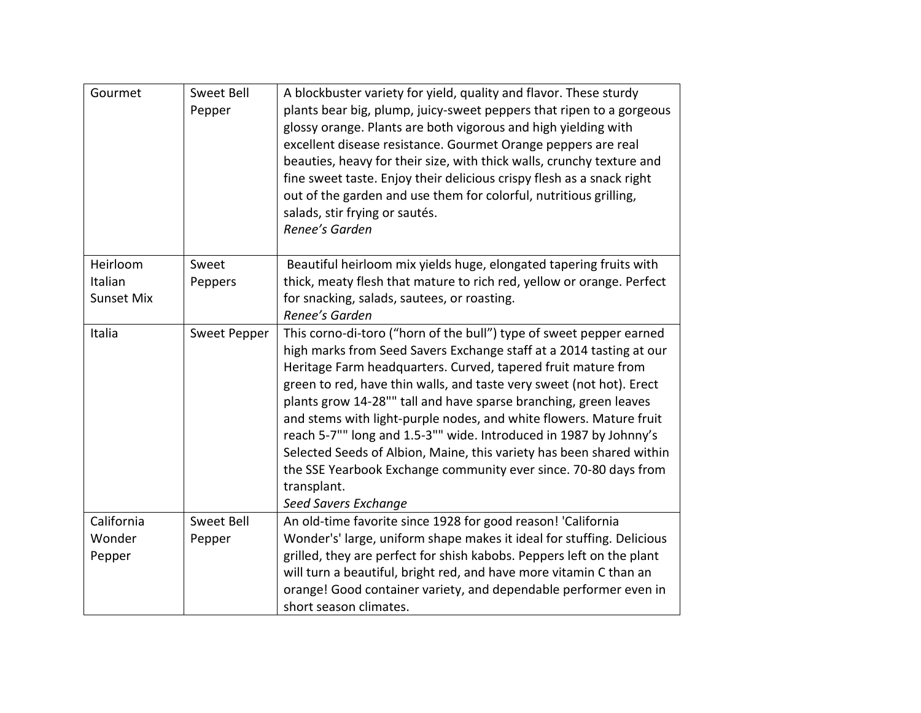| Gourmet           | Sweet Bell<br>Pepper | A blockbuster variety for yield, quality and flavor. These sturdy<br>plants bear big, plump, juicy-sweet peppers that ripen to a gorgeous<br>glossy orange. Plants are both vigorous and high yielding with<br>excellent disease resistance. Gourmet Orange peppers are real<br>beauties, heavy for their size, with thick walls, crunchy texture and<br>fine sweet taste. Enjoy their delicious crispy flesh as a snack right<br>out of the garden and use them for colorful, nutritious grilling,<br>salads, stir frying or sautés.<br>Renee's Garden                                                                                                                              |
|-------------------|----------------------|--------------------------------------------------------------------------------------------------------------------------------------------------------------------------------------------------------------------------------------------------------------------------------------------------------------------------------------------------------------------------------------------------------------------------------------------------------------------------------------------------------------------------------------------------------------------------------------------------------------------------------------------------------------------------------------|
| Heirloom          | Sweet                | Beautiful heirloom mix yields huge, elongated tapering fruits with                                                                                                                                                                                                                                                                                                                                                                                                                                                                                                                                                                                                                   |
| Italian           | Peppers              | thick, meaty flesh that mature to rich red, yellow or orange. Perfect                                                                                                                                                                                                                                                                                                                                                                                                                                                                                                                                                                                                                |
| <b>Sunset Mix</b> |                      | for snacking, salads, sautees, or roasting.                                                                                                                                                                                                                                                                                                                                                                                                                                                                                                                                                                                                                                          |
|                   |                      | Renee's Garden                                                                                                                                                                                                                                                                                                                                                                                                                                                                                                                                                                                                                                                                       |
| Italia            | <b>Sweet Pepper</b>  | This corno-di-toro ("horn of the bull") type of sweet pepper earned<br>high marks from Seed Savers Exchange staff at a 2014 tasting at our<br>Heritage Farm headquarters. Curved, tapered fruit mature from<br>green to red, have thin walls, and taste very sweet (not hot). Erect<br>plants grow 14-28"" tall and have sparse branching, green leaves<br>and stems with light-purple nodes, and white flowers. Mature fruit<br>reach 5-7"" long and 1.5-3"" wide. Introduced in 1987 by Johnny's<br>Selected Seeds of Albion, Maine, this variety has been shared within<br>the SSE Yearbook Exchange community ever since. 70-80 days from<br>transplant.<br>Seed Savers Exchange |
| California        | Sweet Bell           | An old-time favorite since 1928 for good reason! 'California                                                                                                                                                                                                                                                                                                                                                                                                                                                                                                                                                                                                                         |
| Wonder            | Pepper               | Wonder's' large, uniform shape makes it ideal for stuffing. Delicious                                                                                                                                                                                                                                                                                                                                                                                                                                                                                                                                                                                                                |
| Pepper            |                      | grilled, they are perfect for shish kabobs. Peppers left on the plant<br>will turn a beautiful, bright red, and have more vitamin C than an                                                                                                                                                                                                                                                                                                                                                                                                                                                                                                                                          |
|                   |                      | orange! Good container variety, and dependable performer even in                                                                                                                                                                                                                                                                                                                                                                                                                                                                                                                                                                                                                     |
|                   |                      | short season climates.                                                                                                                                                                                                                                                                                                                                                                                                                                                                                                                                                                                                                                                               |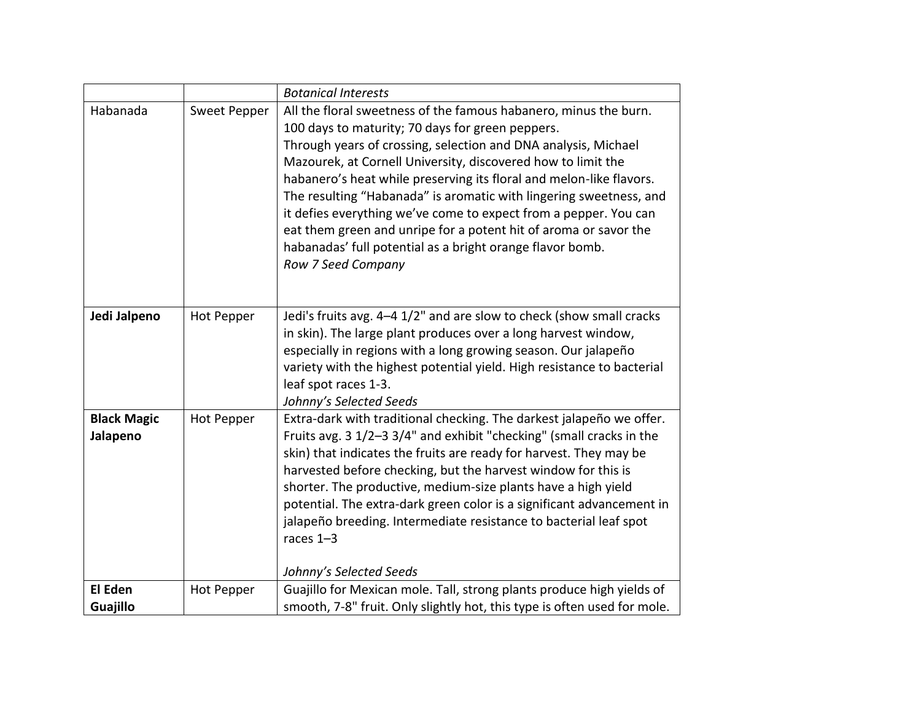|                                |                     | <b>Botanical Interests</b>                                                                                                                                                                                                                                                                                                                                                                                                                                                                                                                                                                                                     |
|--------------------------------|---------------------|--------------------------------------------------------------------------------------------------------------------------------------------------------------------------------------------------------------------------------------------------------------------------------------------------------------------------------------------------------------------------------------------------------------------------------------------------------------------------------------------------------------------------------------------------------------------------------------------------------------------------------|
| Habanada                       | <b>Sweet Pepper</b> | All the floral sweetness of the famous habanero, minus the burn.<br>100 days to maturity; 70 days for green peppers.<br>Through years of crossing, selection and DNA analysis, Michael<br>Mazourek, at Cornell University, discovered how to limit the<br>habanero's heat while preserving its floral and melon-like flavors.<br>The resulting "Habanada" is aromatic with lingering sweetness, and<br>it defies everything we've come to expect from a pepper. You can<br>eat them green and unripe for a potent hit of aroma or savor the<br>habanadas' full potential as a bright orange flavor bomb.<br>Row 7 Seed Company |
| Jedi Jalpeno                   | <b>Hot Pepper</b>   | Jedi's fruits avg. 4-4 1/2" and are slow to check (show small cracks<br>in skin). The large plant produces over a long harvest window,<br>especially in regions with a long growing season. Our jalapeño<br>variety with the highest potential yield. High resistance to bacterial<br>leaf spot races 1-3.<br>Johnny's Selected Seeds                                                                                                                                                                                                                                                                                          |
| <b>Black Magic</b><br>Jalapeno | <b>Hot Pepper</b>   | Extra-dark with traditional checking. The darkest jalapeño we offer.<br>Fruits avg. 3 1/2-3 3/4" and exhibit "checking" (small cracks in the<br>skin) that indicates the fruits are ready for harvest. They may be<br>harvested before checking, but the harvest window for this is<br>shorter. The productive, medium-size plants have a high yield<br>potential. The extra-dark green color is a significant advancement in<br>jalapeño breeding. Intermediate resistance to bacterial leaf spot<br>races 1-3<br>Johnny's Selected Seeds                                                                                     |
| El Eden                        | <b>Hot Pepper</b>   | Guajillo for Mexican mole. Tall, strong plants produce high yields of                                                                                                                                                                                                                                                                                                                                                                                                                                                                                                                                                          |
| Guajillo                       |                     | smooth, 7-8" fruit. Only slightly hot, this type is often used for mole.                                                                                                                                                                                                                                                                                                                                                                                                                                                                                                                                                       |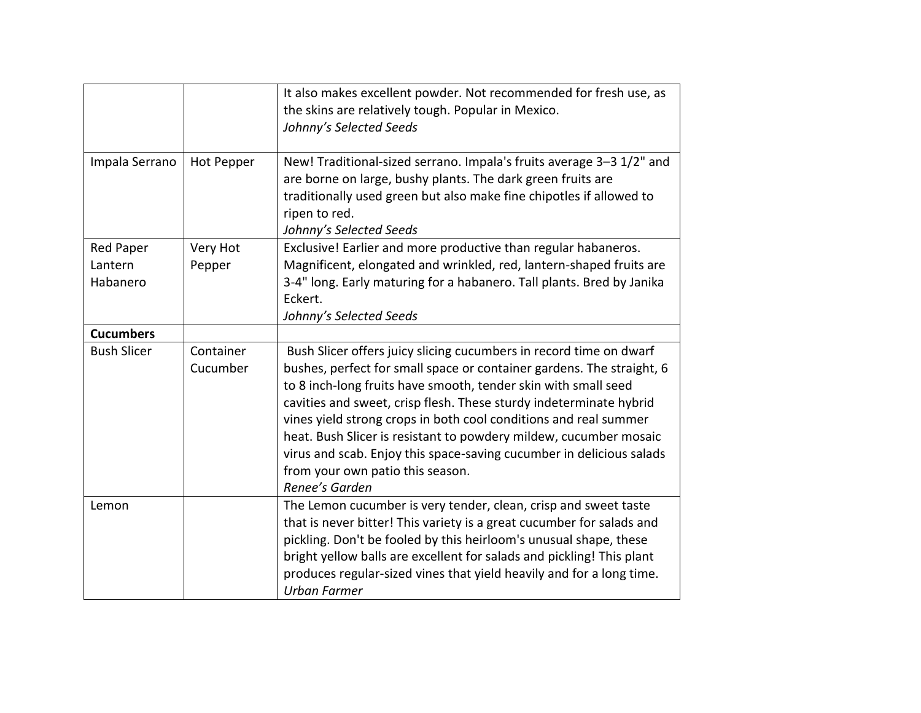|                    |            | It also makes excellent powder. Not recommended for fresh use, as<br>the skins are relatively tough. Popular in Mexico.<br>Johnny's Selected Seeds                                                                                                     |
|--------------------|------------|--------------------------------------------------------------------------------------------------------------------------------------------------------------------------------------------------------------------------------------------------------|
| Impala Serrano     | Hot Pepper | New! Traditional-sized serrano. Impala's fruits average 3-3 1/2" and<br>are borne on large, bushy plants. The dark green fruits are<br>traditionally used green but also make fine chipotles if allowed to<br>ripen to red.<br>Johnny's Selected Seeds |
| <b>Red Paper</b>   | Very Hot   | Exclusive! Earlier and more productive than regular habaneros.                                                                                                                                                                                         |
| Lantern            | Pepper     | Magnificent, elongated and wrinkled, red, lantern-shaped fruits are                                                                                                                                                                                    |
| Habanero           |            | 3-4" long. Early maturing for a habanero. Tall plants. Bred by Janika                                                                                                                                                                                  |
|                    |            | Eckert.                                                                                                                                                                                                                                                |
|                    |            | Johnny's Selected Seeds                                                                                                                                                                                                                                |
| <b>Cucumbers</b>   |            |                                                                                                                                                                                                                                                        |
| <b>Bush Slicer</b> | Container  |                                                                                                                                                                                                                                                        |
|                    |            | Bush Slicer offers juicy slicing cucumbers in record time on dwarf                                                                                                                                                                                     |
|                    | Cucumber   | bushes, perfect for small space or container gardens. The straight, 6                                                                                                                                                                                  |
|                    |            | to 8 inch-long fruits have smooth, tender skin with small seed                                                                                                                                                                                         |
|                    |            | cavities and sweet, crisp flesh. These sturdy indeterminate hybrid                                                                                                                                                                                     |
|                    |            | vines yield strong crops in both cool conditions and real summer                                                                                                                                                                                       |
|                    |            | heat. Bush Slicer is resistant to powdery mildew, cucumber mosaic                                                                                                                                                                                      |
|                    |            | virus and scab. Enjoy this space-saving cucumber in delicious salads                                                                                                                                                                                   |
|                    |            | from your own patio this season.                                                                                                                                                                                                                       |
|                    |            | Renee's Garden                                                                                                                                                                                                                                         |
| Lemon              |            | The Lemon cucumber is very tender, clean, crisp and sweet taste                                                                                                                                                                                        |
|                    |            | that is never bitter! This variety is a great cucumber for salads and                                                                                                                                                                                  |
|                    |            | pickling. Don't be fooled by this heirloom's unusual shape, these                                                                                                                                                                                      |
|                    |            | bright yellow balls are excellent for salads and pickling! This plant                                                                                                                                                                                  |
|                    |            | produces regular-sized vines that yield heavily and for a long time.<br><b>Urban Farmer</b>                                                                                                                                                            |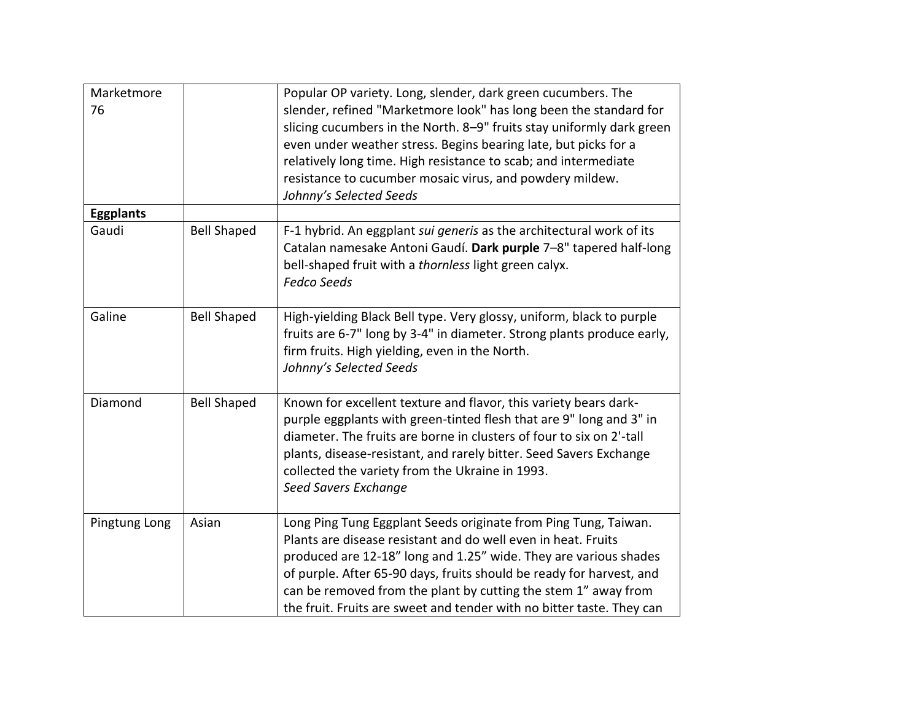| Marketmore<br>76 |                    | Popular OP variety. Long, slender, dark green cucumbers. The<br>slender, refined "Marketmore look" has long been the standard for<br>slicing cucumbers in the North. 8-9" fruits stay uniformly dark green<br>even under weather stress. Begins bearing late, but picks for a<br>relatively long time. High resistance to scab; and intermediate<br>resistance to cucumber mosaic virus, and powdery mildew.<br>Johnny's Selected Seeds |
|------------------|--------------------|-----------------------------------------------------------------------------------------------------------------------------------------------------------------------------------------------------------------------------------------------------------------------------------------------------------------------------------------------------------------------------------------------------------------------------------------|
| <b>Eggplants</b> |                    |                                                                                                                                                                                                                                                                                                                                                                                                                                         |
| Gaudi            | <b>Bell Shaped</b> | F-1 hybrid. An eggplant sui generis as the architectural work of its<br>Catalan namesake Antoni Gaudí. Dark purple 7-8" tapered half-long<br>bell-shaped fruit with a thornless light green calyx.<br><b>Fedco Seeds</b>                                                                                                                                                                                                                |
| Galine           | <b>Bell Shaped</b> | High-yielding Black Bell type. Very glossy, uniform, black to purple<br>fruits are 6-7" long by 3-4" in diameter. Strong plants produce early,<br>firm fruits. High yielding, even in the North.<br>Johnny's Selected Seeds                                                                                                                                                                                                             |
| Diamond          | <b>Bell Shaped</b> | Known for excellent texture and flavor, this variety bears dark-<br>purple eggplants with green-tinted flesh that are 9" long and 3" in<br>diameter. The fruits are borne in clusters of four to six on 2'-tall<br>plants, disease-resistant, and rarely bitter. Seed Savers Exchange<br>collected the variety from the Ukraine in 1993.<br>Seed Savers Exchange                                                                        |
| Pingtung Long    | Asian              | Long Ping Tung Eggplant Seeds originate from Ping Tung, Taiwan.<br>Plants are disease resistant and do well even in heat. Fruits<br>produced are 12-18" long and 1.25" wide. They are various shades<br>of purple. After 65-90 days, fruits should be ready for harvest, and<br>can be removed from the plant by cutting the stem 1" away from<br>the fruit. Fruits are sweet and tender with no bitter taste. They can                 |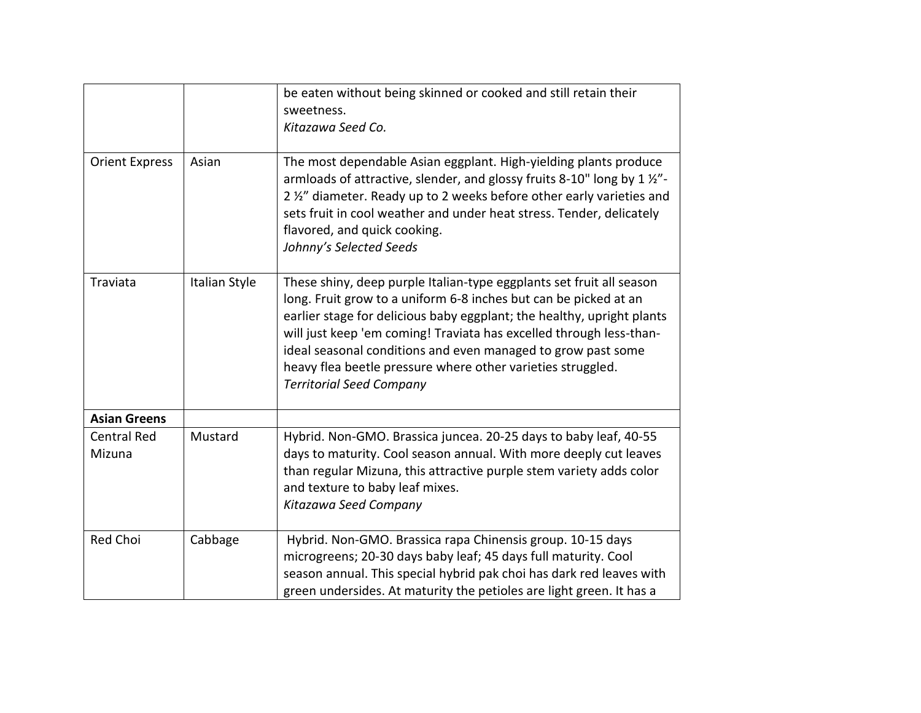|                              |               | be eaten without being skinned or cooked and still retain their<br>sweetness.<br>Kitazawa Seed Co.                                                                                                                                                                                                                                                                                                                                                          |
|------------------------------|---------------|-------------------------------------------------------------------------------------------------------------------------------------------------------------------------------------------------------------------------------------------------------------------------------------------------------------------------------------------------------------------------------------------------------------------------------------------------------------|
| <b>Orient Express</b>        | Asian         | The most dependable Asian eggplant. High-yielding plants produce<br>armloads of attractive, slender, and glossy fruits 8-10" long by 1 1/2"-<br>2 1/2" diameter. Ready up to 2 weeks before other early varieties and<br>sets fruit in cool weather and under heat stress. Tender, delicately<br>flavored, and quick cooking.<br>Johnny's Selected Seeds                                                                                                    |
| Traviata                     | Italian Style | These shiny, deep purple Italian-type eggplants set fruit all season<br>long. Fruit grow to a uniform 6-8 inches but can be picked at an<br>earlier stage for delicious baby eggplant; the healthy, upright plants<br>will just keep 'em coming! Traviata has excelled through less-than-<br>ideal seasonal conditions and even managed to grow past some<br>heavy flea beetle pressure where other varieties struggled.<br><b>Territorial Seed Company</b> |
| <b>Asian Greens</b>          |               |                                                                                                                                                                                                                                                                                                                                                                                                                                                             |
| <b>Central Red</b><br>Mizuna | Mustard       | Hybrid. Non-GMO. Brassica juncea. 20-25 days to baby leaf, 40-55<br>days to maturity. Cool season annual. With more deeply cut leaves<br>than regular Mizuna, this attractive purple stem variety adds color<br>and texture to baby leaf mixes.<br>Kitazawa Seed Company                                                                                                                                                                                    |
| Red Choi                     | Cabbage       | Hybrid. Non-GMO. Brassica rapa Chinensis group. 10-15 days<br>microgreens; 20-30 days baby leaf; 45 days full maturity. Cool<br>season annual. This special hybrid pak choi has dark red leaves with<br>green undersides. At maturity the petioles are light green. It has a                                                                                                                                                                                |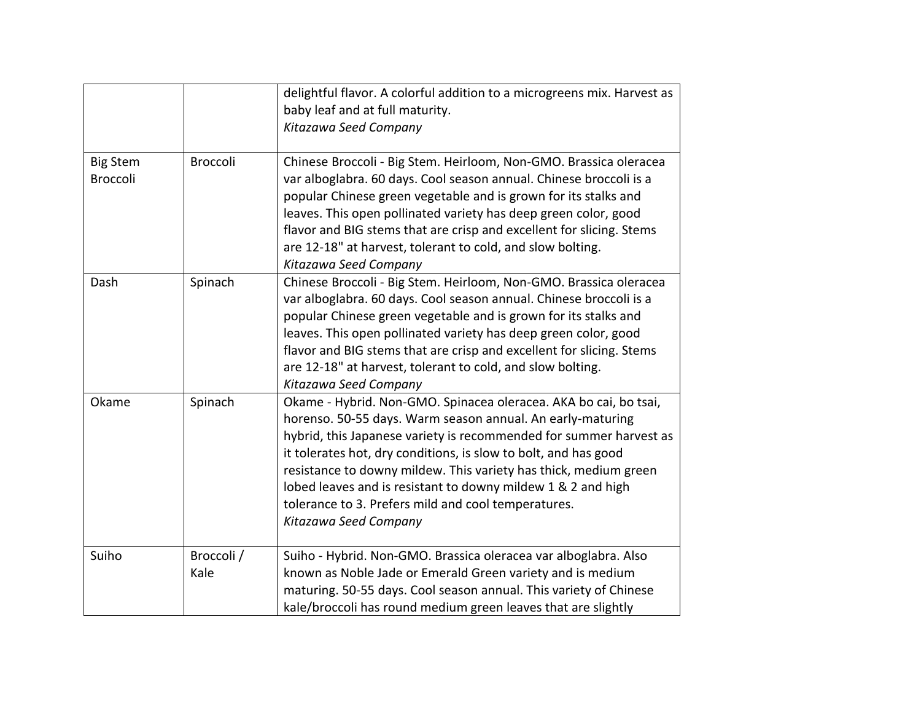|                                    |                    | delightful flavor. A colorful addition to a microgreens mix. Harvest as<br>baby leaf and at full maturity.<br>Kitazawa Seed Company                                                                                                                                                                                                                                                                                                                                                         |
|------------------------------------|--------------------|---------------------------------------------------------------------------------------------------------------------------------------------------------------------------------------------------------------------------------------------------------------------------------------------------------------------------------------------------------------------------------------------------------------------------------------------------------------------------------------------|
| <b>Big Stem</b><br><b>Broccoli</b> | <b>Broccoli</b>    | Chinese Broccoli - Big Stem. Heirloom, Non-GMO. Brassica oleracea<br>var alboglabra. 60 days. Cool season annual. Chinese broccoli is a<br>popular Chinese green vegetable and is grown for its stalks and<br>leaves. This open pollinated variety has deep green color, good<br>flavor and BIG stems that are crisp and excellent for slicing. Stems<br>are 12-18" at harvest, tolerant to cold, and slow bolting.<br>Kitazawa Seed Company                                                |
| Dash                               | Spinach            | Chinese Broccoli - Big Stem. Heirloom, Non-GMO. Brassica oleracea<br>var alboglabra. 60 days. Cool season annual. Chinese broccoli is a<br>popular Chinese green vegetable and is grown for its stalks and<br>leaves. This open pollinated variety has deep green color, good<br>flavor and BIG stems that are crisp and excellent for slicing. Stems<br>are 12-18" at harvest, tolerant to cold, and slow bolting.<br>Kitazawa Seed Company                                                |
| Okame                              | Spinach            | Okame - Hybrid. Non-GMO. Spinacea oleracea. AKA bo cai, bo tsai,<br>horenso. 50-55 days. Warm season annual. An early-maturing<br>hybrid, this Japanese variety is recommended for summer harvest as<br>it tolerates hot, dry conditions, is slow to bolt, and has good<br>resistance to downy mildew. This variety has thick, medium green<br>lobed leaves and is resistant to downy mildew 1 & 2 and high<br>tolerance to 3. Prefers mild and cool temperatures.<br>Kitazawa Seed Company |
| Suiho                              | Broccoli /<br>Kale | Suiho - Hybrid. Non-GMO. Brassica oleracea var alboglabra. Also<br>known as Noble Jade or Emerald Green variety and is medium<br>maturing. 50-55 days. Cool season annual. This variety of Chinese<br>kale/broccoli has round medium green leaves that are slightly                                                                                                                                                                                                                         |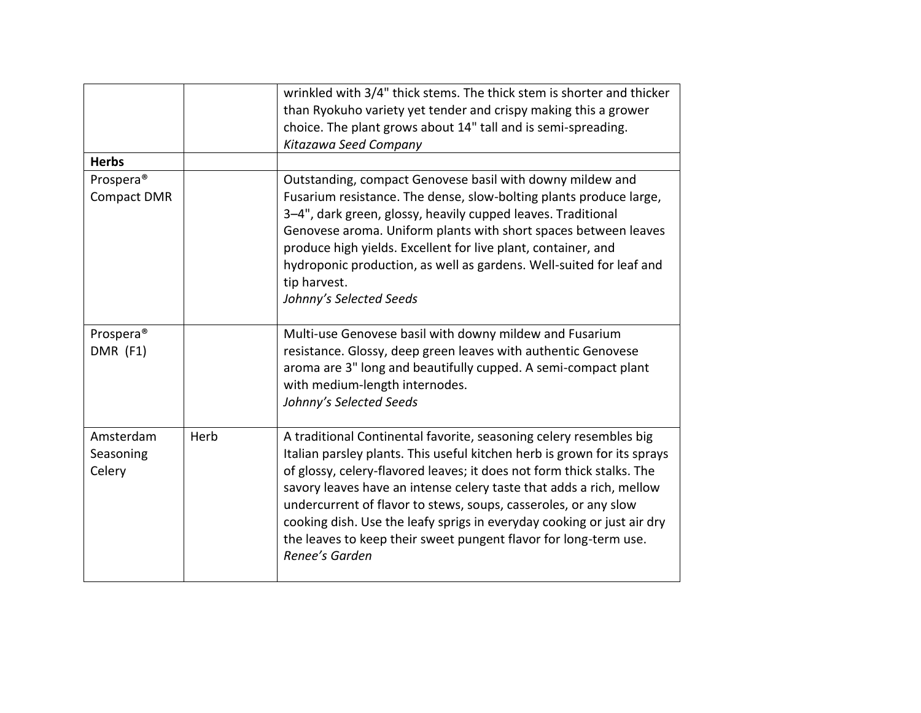|                                             |      | wrinkled with 3/4" thick stems. The thick stem is shorter and thicker<br>than Ryokuho variety yet tender and crispy making this a grower<br>choice. The plant grows about 14" tall and is semi-spreading.<br>Kitazawa Seed Company                                                                                                                                                                                                                                                                                                |
|---------------------------------------------|------|-----------------------------------------------------------------------------------------------------------------------------------------------------------------------------------------------------------------------------------------------------------------------------------------------------------------------------------------------------------------------------------------------------------------------------------------------------------------------------------------------------------------------------------|
| <b>Herbs</b>                                |      |                                                                                                                                                                                                                                                                                                                                                                                                                                                                                                                                   |
| Prospera <sup>®</sup><br><b>Compact DMR</b> |      | Outstanding, compact Genovese basil with downy mildew and<br>Fusarium resistance. The dense, slow-bolting plants produce large,<br>3-4", dark green, glossy, heavily cupped leaves. Traditional<br>Genovese aroma. Uniform plants with short spaces between leaves<br>produce high yields. Excellent for live plant, container, and<br>hydroponic production, as well as gardens. Well-suited for leaf and<br>tip harvest.<br>Johnny's Selected Seeds                                                                             |
| Prospera <sup>®</sup><br><b>DMR (F1)</b>    |      | Multi-use Genovese basil with downy mildew and Fusarium<br>resistance. Glossy, deep green leaves with authentic Genovese<br>aroma are 3" long and beautifully cupped. A semi-compact plant<br>with medium-length internodes.<br>Johnny's Selected Seeds                                                                                                                                                                                                                                                                           |
| Amsterdam<br>Seasoning<br>Celery            | Herb | A traditional Continental favorite, seasoning celery resembles big<br>Italian parsley plants. This useful kitchen herb is grown for its sprays<br>of glossy, celery-flavored leaves; it does not form thick stalks. The<br>savory leaves have an intense celery taste that adds a rich, mellow<br>undercurrent of flavor to stews, soups, casseroles, or any slow<br>cooking dish. Use the leafy sprigs in everyday cooking or just air dry<br>the leaves to keep their sweet pungent flavor for long-term use.<br>Renee's Garden |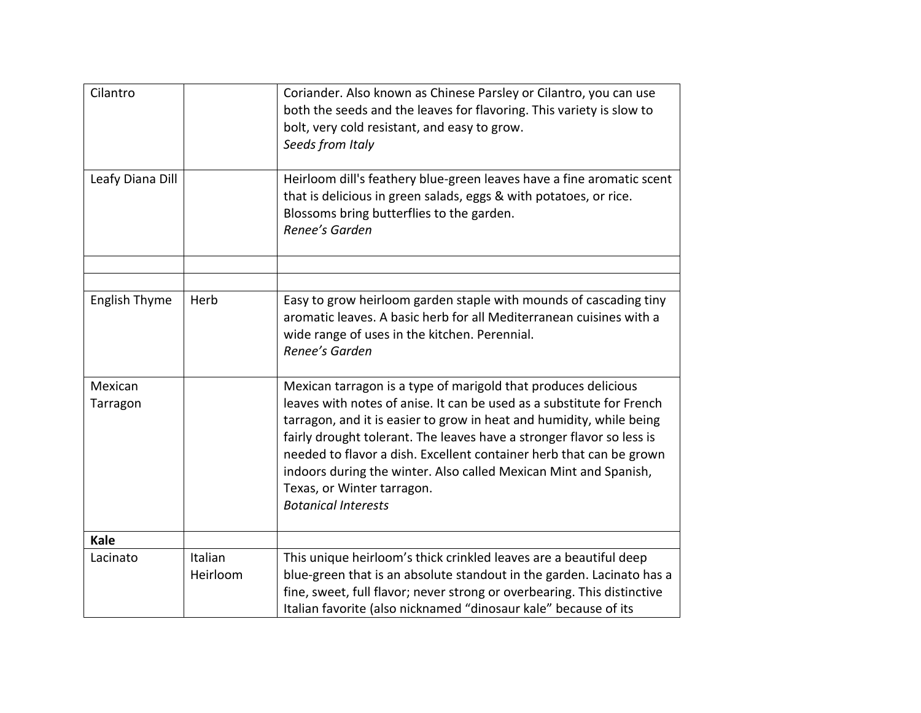| Cilantro             |                     | Coriander. Also known as Chinese Parsley or Cilantro, you can use<br>both the seeds and the leaves for flavoring. This variety is slow to<br>bolt, very cold resistant, and easy to grow.<br>Seeds from Italy                                                                                                                                                                                                                                                                                   |
|----------------------|---------------------|-------------------------------------------------------------------------------------------------------------------------------------------------------------------------------------------------------------------------------------------------------------------------------------------------------------------------------------------------------------------------------------------------------------------------------------------------------------------------------------------------|
| Leafy Diana Dill     |                     | Heirloom dill's feathery blue-green leaves have a fine aromatic scent<br>that is delicious in green salads, eggs & with potatoes, or rice.<br>Blossoms bring butterflies to the garden.<br>Renee's Garden                                                                                                                                                                                                                                                                                       |
|                      |                     |                                                                                                                                                                                                                                                                                                                                                                                                                                                                                                 |
| <b>English Thyme</b> | Herb                | Easy to grow heirloom garden staple with mounds of cascading tiny<br>aromatic leaves. A basic herb for all Mediterranean cuisines with a<br>wide range of uses in the kitchen. Perennial.<br>Renee's Garden                                                                                                                                                                                                                                                                                     |
| Mexican<br>Tarragon  |                     | Mexican tarragon is a type of marigold that produces delicious<br>leaves with notes of anise. It can be used as a substitute for French<br>tarragon, and it is easier to grow in heat and humidity, while being<br>fairly drought tolerant. The leaves have a stronger flavor so less is<br>needed to flavor a dish. Excellent container herb that can be grown<br>indoors during the winter. Also called Mexican Mint and Spanish,<br>Texas, or Winter tarragon.<br><b>Botanical Interests</b> |
| <b>Kale</b>          |                     |                                                                                                                                                                                                                                                                                                                                                                                                                                                                                                 |
| Lacinato             | Italian<br>Heirloom | This unique heirloom's thick crinkled leaves are a beautiful deep<br>blue-green that is an absolute standout in the garden. Lacinato has a<br>fine, sweet, full flavor; never strong or overbearing. This distinctive<br>Italian favorite (also nicknamed "dinosaur kale" because of its                                                                                                                                                                                                        |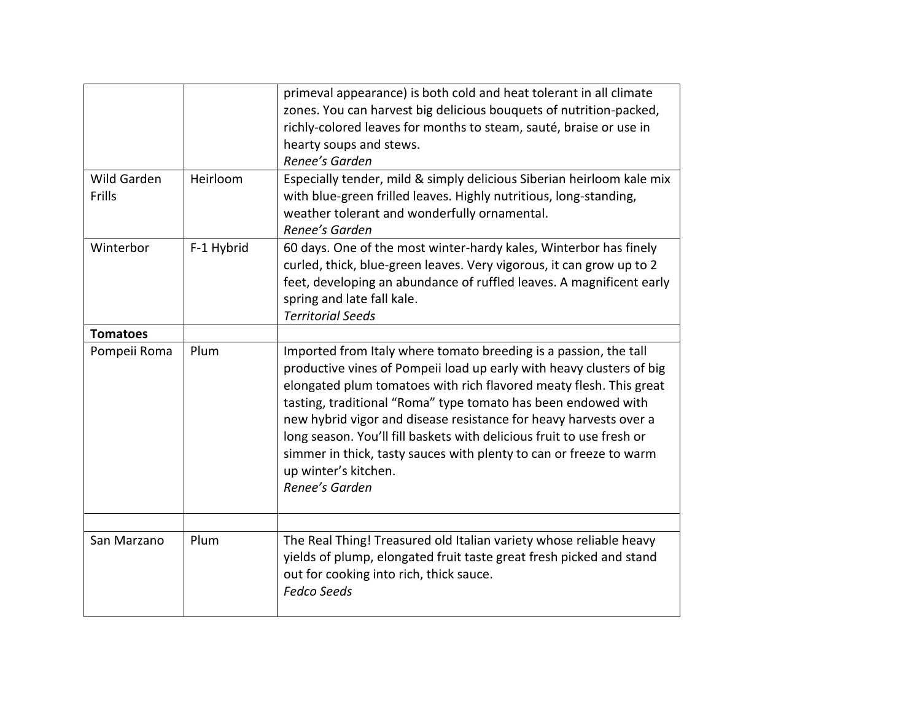| Wild Garden<br>Frills | Heirloom   | primeval appearance) is both cold and heat tolerant in all climate<br>zones. You can harvest big delicious bouquets of nutrition-packed,<br>richly-colored leaves for months to steam, sauté, braise or use in<br>hearty soups and stews.<br>Renee's Garden<br>Especially tender, mild & simply delicious Siberian heirloom kale mix<br>with blue-green frilled leaves. Highly nutritious, long-standing,<br>weather tolerant and wonderfully ornamental.                                                                                     |
|-----------------------|------------|-----------------------------------------------------------------------------------------------------------------------------------------------------------------------------------------------------------------------------------------------------------------------------------------------------------------------------------------------------------------------------------------------------------------------------------------------------------------------------------------------------------------------------------------------|
| Winterbor             | F-1 Hybrid | Renee's Garden<br>60 days. One of the most winter-hardy kales, Winterbor has finely<br>curled, thick, blue-green leaves. Very vigorous, it can grow up to 2<br>feet, developing an abundance of ruffled leaves. A magnificent early<br>spring and late fall kale.<br><b>Territorial Seeds</b>                                                                                                                                                                                                                                                 |
| <b>Tomatoes</b>       |            |                                                                                                                                                                                                                                                                                                                                                                                                                                                                                                                                               |
| Pompeii Roma          | Plum       | Imported from Italy where tomato breeding is a passion, the tall<br>productive vines of Pompeii load up early with heavy clusters of big<br>elongated plum tomatoes with rich flavored meaty flesh. This great<br>tasting, traditional "Roma" type tomato has been endowed with<br>new hybrid vigor and disease resistance for heavy harvests over a<br>long season. You'll fill baskets with delicious fruit to use fresh or<br>simmer in thick, tasty sauces with plenty to can or freeze to warm<br>up winter's kitchen.<br>Renee's Garden |
| San Marzano           | Plum       | The Real Thing! Treasured old Italian variety whose reliable heavy<br>yields of plump, elongated fruit taste great fresh picked and stand<br>out for cooking into rich, thick sauce.<br><b>Fedco Seeds</b>                                                                                                                                                                                                                                                                                                                                    |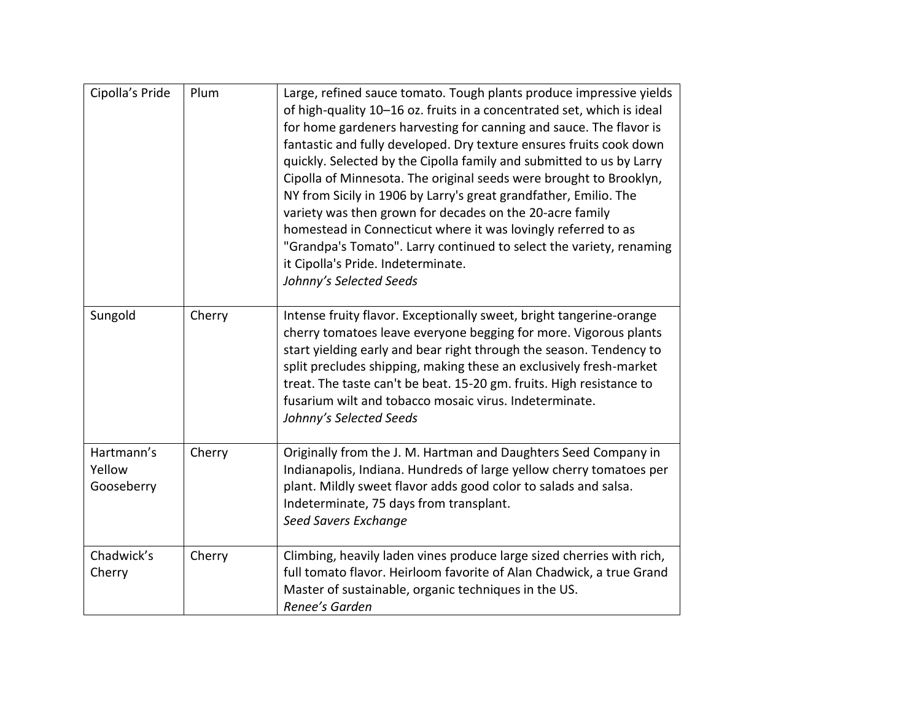| Cipolla's Pride                    | Plum   | Large, refined sauce tomato. Tough plants produce impressive yields<br>of high-quality 10-16 oz. fruits in a concentrated set, which is ideal<br>for home gardeners harvesting for canning and sauce. The flavor is<br>fantastic and fully developed. Dry texture ensures fruits cook down<br>quickly. Selected by the Cipolla family and submitted to us by Larry<br>Cipolla of Minnesota. The original seeds were brought to Brooklyn,<br>NY from Sicily in 1906 by Larry's great grandfather, Emilio. The<br>variety was then grown for decades on the 20-acre family<br>homestead in Connecticut where it was lovingly referred to as<br>"Grandpa's Tomato". Larry continued to select the variety, renaming<br>it Cipolla's Pride. Indeterminate.<br>Johnny's Selected Seeds |
|------------------------------------|--------|-----------------------------------------------------------------------------------------------------------------------------------------------------------------------------------------------------------------------------------------------------------------------------------------------------------------------------------------------------------------------------------------------------------------------------------------------------------------------------------------------------------------------------------------------------------------------------------------------------------------------------------------------------------------------------------------------------------------------------------------------------------------------------------|
| Sungold                            | Cherry | Intense fruity flavor. Exceptionally sweet, bright tangerine-orange<br>cherry tomatoes leave everyone begging for more. Vigorous plants<br>start yielding early and bear right through the season. Tendency to<br>split precludes shipping, making these an exclusively fresh-market<br>treat. The taste can't be beat. 15-20 gm. fruits. High resistance to<br>fusarium wilt and tobacco mosaic virus. Indeterminate.<br>Johnny's Selected Seeds                                                                                                                                                                                                                                                                                                                                 |
| Hartmann's<br>Yellow<br>Gooseberry | Cherry | Originally from the J. M. Hartman and Daughters Seed Company in<br>Indianapolis, Indiana. Hundreds of large yellow cherry tomatoes per<br>plant. Mildly sweet flavor adds good color to salads and salsa.<br>Indeterminate, 75 days from transplant.<br>Seed Savers Exchange                                                                                                                                                                                                                                                                                                                                                                                                                                                                                                      |
| Chadwick's<br>Cherry               | Cherry | Climbing, heavily laden vines produce large sized cherries with rich,<br>full tomato flavor. Heirloom favorite of Alan Chadwick, a true Grand<br>Master of sustainable, organic techniques in the US.<br>Renee's Garden                                                                                                                                                                                                                                                                                                                                                                                                                                                                                                                                                           |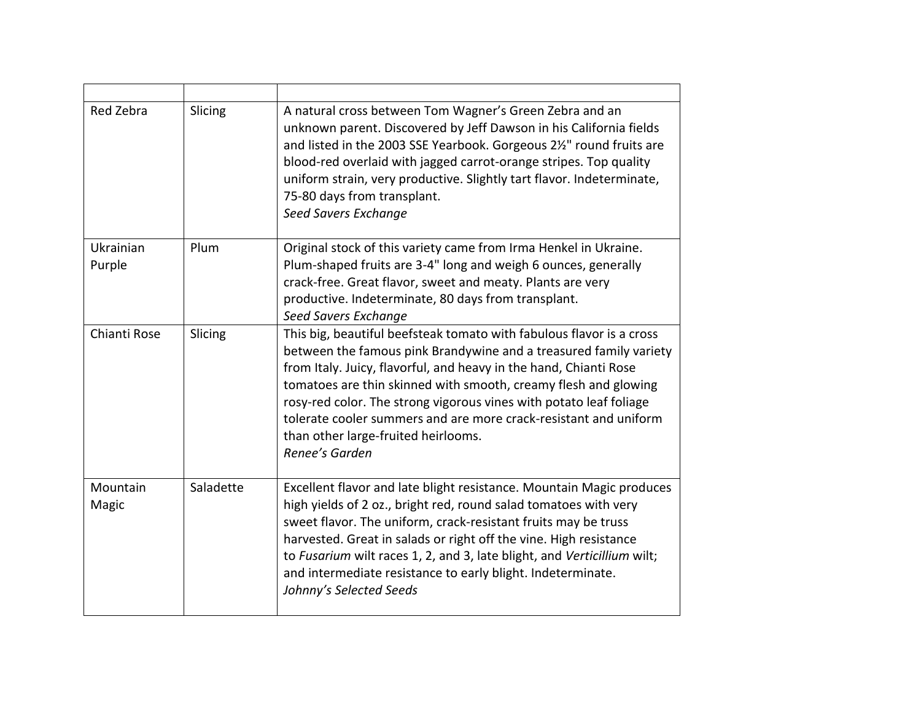| Red Zebra           | Slicing   | A natural cross between Tom Wagner's Green Zebra and an<br>unknown parent. Discovered by Jeff Dawson in his California fields<br>and listed in the 2003 SSE Yearbook. Gorgeous 21/2" round fruits are<br>blood-red overlaid with jagged carrot-orange stripes. Top quality<br>uniform strain, very productive. Slightly tart flavor. Indeterminate,<br>75-80 days from transplant.<br>Seed Savers Exchange                                                                           |
|---------------------|-----------|--------------------------------------------------------------------------------------------------------------------------------------------------------------------------------------------------------------------------------------------------------------------------------------------------------------------------------------------------------------------------------------------------------------------------------------------------------------------------------------|
| Ukrainian<br>Purple | Plum      | Original stock of this variety came from Irma Henkel in Ukraine.<br>Plum-shaped fruits are 3-4" long and weigh 6 ounces, generally<br>crack-free. Great flavor, sweet and meaty. Plants are very<br>productive. Indeterminate, 80 days from transplant.<br>Seed Savers Exchange                                                                                                                                                                                                      |
| Chianti Rose        | Slicing   | This big, beautiful beefsteak tomato with fabulous flavor is a cross<br>between the famous pink Brandywine and a treasured family variety<br>from Italy. Juicy, flavorful, and heavy in the hand, Chianti Rose<br>tomatoes are thin skinned with smooth, creamy flesh and glowing<br>rosy-red color. The strong vigorous vines with potato leaf foliage<br>tolerate cooler summers and are more crack-resistant and uniform<br>than other large-fruited heirlooms.<br>Renee's Garden |
| Mountain<br>Magic   | Saladette | Excellent flavor and late blight resistance. Mountain Magic produces<br>high yields of 2 oz., bright red, round salad tomatoes with very<br>sweet flavor. The uniform, crack-resistant fruits may be truss<br>harvested. Great in salads or right off the vine. High resistance<br>to Fusarium wilt races 1, 2, and 3, late blight, and Verticillium wilt;<br>and intermediate resistance to early blight. Indeterminate.<br>Johnny's Selected Seeds                                 |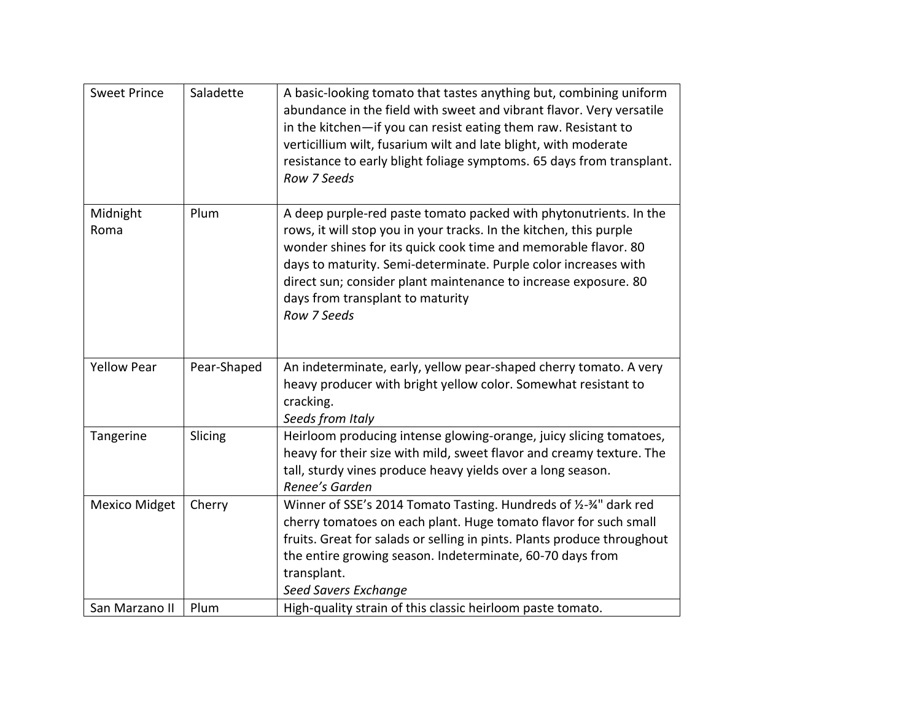| <b>Sweet Prince</b> | Saladette   | A basic-looking tomato that tastes anything but, combining uniform<br>abundance in the field with sweet and vibrant flavor. Very versatile<br>in the kitchen-if you can resist eating them raw. Resistant to<br>verticillium wilt, fusarium wilt and late blight, with moderate<br>resistance to early blight foliage symptoms. 65 days from transplant.<br>Row 7 Seeds |
|---------------------|-------------|-------------------------------------------------------------------------------------------------------------------------------------------------------------------------------------------------------------------------------------------------------------------------------------------------------------------------------------------------------------------------|
| Midnight            | Plum        | A deep purple-red paste tomato packed with phytonutrients. In the                                                                                                                                                                                                                                                                                                       |
| Roma                |             | rows, it will stop you in your tracks. In the kitchen, this purple<br>wonder shines for its quick cook time and memorable flavor. 80                                                                                                                                                                                                                                    |
|                     |             | days to maturity. Semi-determinate. Purple color increases with                                                                                                                                                                                                                                                                                                         |
|                     |             | direct sun; consider plant maintenance to increase exposure. 80                                                                                                                                                                                                                                                                                                         |
|                     |             | days from transplant to maturity                                                                                                                                                                                                                                                                                                                                        |
|                     |             | Row 7 Seeds                                                                                                                                                                                                                                                                                                                                                             |
|                     |             |                                                                                                                                                                                                                                                                                                                                                                         |
| <b>Yellow Pear</b>  | Pear-Shaped | An indeterminate, early, yellow pear-shaped cherry tomato. A very                                                                                                                                                                                                                                                                                                       |
|                     |             | heavy producer with bright yellow color. Somewhat resistant to<br>cracking.                                                                                                                                                                                                                                                                                             |
|                     |             | Seeds from Italy                                                                                                                                                                                                                                                                                                                                                        |
| Tangerine           | Slicing     | Heirloom producing intense glowing-orange, juicy slicing tomatoes,                                                                                                                                                                                                                                                                                                      |
|                     |             | heavy for their size with mild, sweet flavor and creamy texture. The                                                                                                                                                                                                                                                                                                    |
|                     |             | tall, sturdy vines produce heavy yields over a long season.                                                                                                                                                                                                                                                                                                             |
|                     |             | Renee's Garden                                                                                                                                                                                                                                                                                                                                                          |
| Mexico Midget       | Cherry      | Winner of SSE's 2014 Tomato Tasting. Hundreds of 1/2-34" dark red                                                                                                                                                                                                                                                                                                       |
|                     |             | cherry tomatoes on each plant. Huge tomato flavor for such small                                                                                                                                                                                                                                                                                                        |
|                     |             | fruits. Great for salads or selling in pints. Plants produce throughout                                                                                                                                                                                                                                                                                                 |
|                     |             | the entire growing season. Indeterminate, 60-70 days from<br>transplant.                                                                                                                                                                                                                                                                                                |
|                     |             | Seed Savers Exchange                                                                                                                                                                                                                                                                                                                                                    |
| San Marzano II      | Plum        | High-quality strain of this classic heirloom paste tomato.                                                                                                                                                                                                                                                                                                              |
|                     |             |                                                                                                                                                                                                                                                                                                                                                                         |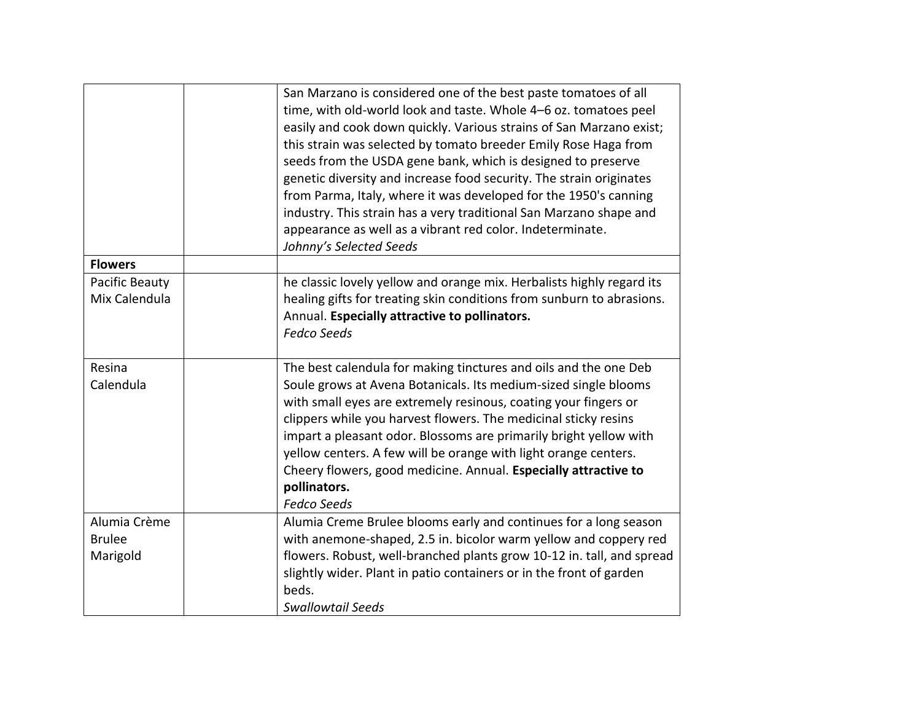|                                           | San Marzano is considered one of the best paste tomatoes of all<br>time, with old-world look and taste. Whole 4-6 oz. tomatoes peel<br>easily and cook down quickly. Various strains of San Marzano exist;<br>this strain was selected by tomato breeder Emily Rose Haga from<br>seeds from the USDA gene bank, which is designed to preserve<br>genetic diversity and increase food security. The strain originates<br>from Parma, Italy, where it was developed for the 1950's canning<br>industry. This strain has a very traditional San Marzano shape and<br>appearance as well as a vibrant red color. Indeterminate.<br>Johnny's Selected Seeds |
|-------------------------------------------|--------------------------------------------------------------------------------------------------------------------------------------------------------------------------------------------------------------------------------------------------------------------------------------------------------------------------------------------------------------------------------------------------------------------------------------------------------------------------------------------------------------------------------------------------------------------------------------------------------------------------------------------------------|
| <b>Flowers</b>                            |                                                                                                                                                                                                                                                                                                                                                                                                                                                                                                                                                                                                                                                        |
| Pacific Beauty<br>Mix Calendula           | he classic lovely yellow and orange mix. Herbalists highly regard its<br>healing gifts for treating skin conditions from sunburn to abrasions.<br>Annual. Especially attractive to pollinators.<br><b>Fedco Seeds</b>                                                                                                                                                                                                                                                                                                                                                                                                                                  |
| Resina<br>Calendula                       | The best calendula for making tinctures and oils and the one Deb<br>Soule grows at Avena Botanicals. Its medium-sized single blooms<br>with small eyes are extremely resinous, coating your fingers or<br>clippers while you harvest flowers. The medicinal sticky resins<br>impart a pleasant odor. Blossoms are primarily bright yellow with<br>yellow centers. A few will be orange with light orange centers.<br>Cheery flowers, good medicine. Annual. Especially attractive to<br>pollinators.<br><b>Fedco Seeds</b>                                                                                                                             |
| Alumia Crème<br><b>Brulee</b><br>Marigold | Alumia Creme Brulee blooms early and continues for a long season<br>with anemone-shaped, 2.5 in. bicolor warm yellow and coppery red<br>flowers. Robust, well-branched plants grow 10-12 in. tall, and spread<br>slightly wider. Plant in patio containers or in the front of garden<br>beds.<br><b>Swallowtail Seeds</b>                                                                                                                                                                                                                                                                                                                              |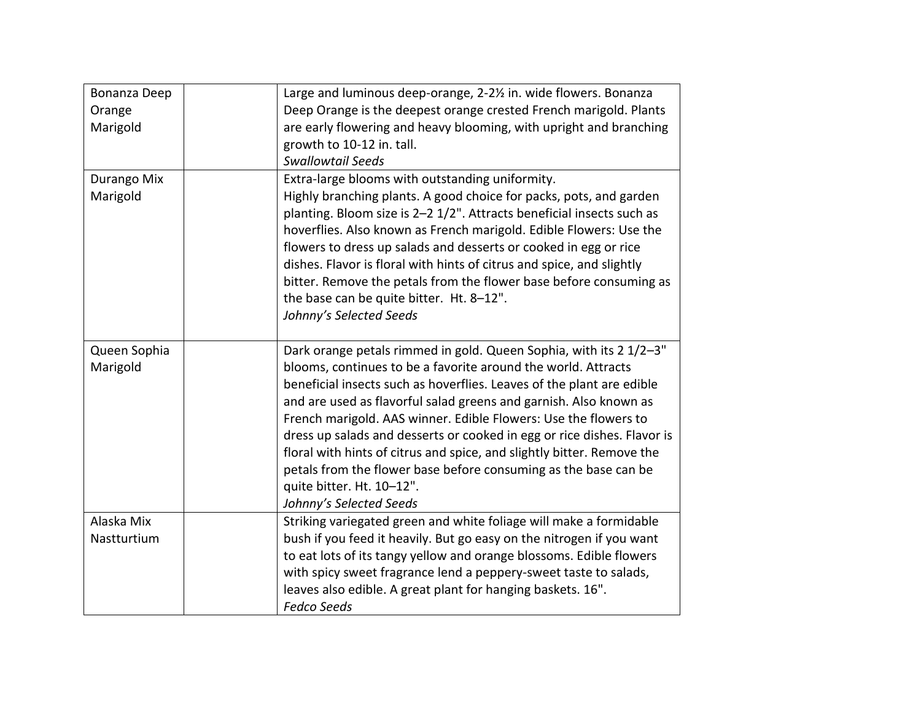| Bonanza Deep<br>Orange<br>Marigold | Large and luminous deep-orange, 2-21/ <sub>2</sub> in. wide flowers. Bonanza<br>Deep Orange is the deepest orange crested French marigold. Plants<br>are early flowering and heavy blooming, with upright and branching<br>growth to 10-12 in. tall.<br>Swallowtail Seeds                                                                                                                                                                                                                                                                                                                                                            |
|------------------------------------|--------------------------------------------------------------------------------------------------------------------------------------------------------------------------------------------------------------------------------------------------------------------------------------------------------------------------------------------------------------------------------------------------------------------------------------------------------------------------------------------------------------------------------------------------------------------------------------------------------------------------------------|
| Durango Mix<br>Marigold            | Extra-large blooms with outstanding uniformity.<br>Highly branching plants. A good choice for packs, pots, and garden<br>planting. Bloom size is 2-2 1/2". Attracts beneficial insects such as<br>hoverflies. Also known as French marigold. Edible Flowers: Use the<br>flowers to dress up salads and desserts or cooked in egg or rice<br>dishes. Flavor is floral with hints of citrus and spice, and slightly<br>bitter. Remove the petals from the flower base before consuming as<br>the base can be quite bitter. Ht. 8-12".<br>Johnny's Selected Seeds                                                                       |
| Queen Sophia<br>Marigold           | Dark orange petals rimmed in gold. Queen Sophia, with its 2 1/2-3"<br>blooms, continues to be a favorite around the world. Attracts<br>beneficial insects such as hoverflies. Leaves of the plant are edible<br>and are used as flavorful salad greens and garnish. Also known as<br>French marigold. AAS winner. Edible Flowers: Use the flowers to<br>dress up salads and desserts or cooked in egg or rice dishes. Flavor is<br>floral with hints of citrus and spice, and slightly bitter. Remove the<br>petals from the flower base before consuming as the base can be<br>quite bitter. Ht. 10-12".<br>Johnny's Selected Seeds |
| Alaska Mix<br>Nastturtium          | Striking variegated green and white foliage will make a formidable<br>bush if you feed it heavily. But go easy on the nitrogen if you want<br>to eat lots of its tangy yellow and orange blossoms. Edible flowers<br>with spicy sweet fragrance lend a peppery-sweet taste to salads,<br>leaves also edible. A great plant for hanging baskets. 16".<br><b>Fedco Seeds</b>                                                                                                                                                                                                                                                           |